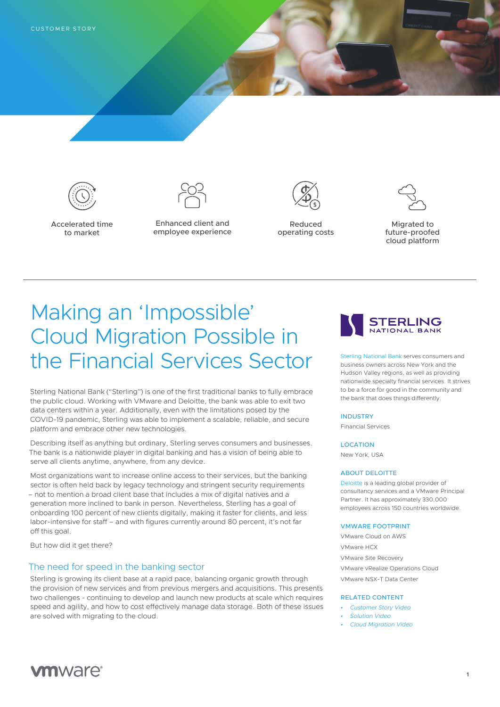

Accelerated time to market



Enhanced client and employee experience



Reduced operating costs



Migrated to future-proofed cloud platform

# Making an 'Impossible' Cloud Migration Possible in the Financial Services Sector

Sterling National Bank ("Sterling") is one of the first traditional banks to fully embrace the public cloud. Working with VMware and Deloitte, the bank was able to exit two data centers within a year. Additionally, even with the limitations posed by the COVID-19 pandemic, Sterling was able to implement a scalable, reliable, and secure platform and embrace other new technologies.

Describing itself as anything but ordinary, Sterling serves consumers and businesses. The bank is a nationwide player in digital banking and has a vision of being able to serve all clients anytime, anywhere, from any device.

Most organizations want to increase online access to their services, but the banking sector is often held back by legacy technology and stringent security requirements – not to mention a broad client base that includes a mix of digital natives and a generation more inclined to bank in person. Nevertheless, Sterling has a goal of onboarding 100 percent of new clients digitally, making it faster for clients, and less labor-intensive for staff – and with figures currently around 80 percent, it's not far off this goal.

But how did it get there?

### The need for speed in the banking sector

Sterling is growing its client base at a rapid pace, balancing organic growth through the provision of new services and from previous mergers and acquisitions. This presents two challenges - continuing to develop and launch new products at scale which requires speed and agility, and how to cost effectively manage data storage. Both of these issues are solved with migrating to the cloud.



[Sterling National Bank](https://www.snb.com/) serves consumers and business owners across New York and the Hudson Valley regions, as well as providing nationwide specialty financial services. It strives to be a force for good in the community and the bank that does things differently.

#### INDUSTRY

Financial Services

#### LOCATION

New York, USA

#### ABOUT DELOITTE

[Deloitte](https://www2.deloitte.com/) is a leading global provider of consultancy services and a VMware Principal Partner. It has approximately 330,000 employees across 150 countries worldwide.

#### VMWARE FOOTPRINT

VMware Cloud on AWS VMware HCX VMware Site Recovery VMware vRealize Operations Cloud VMware NSX-T Data Center

#### RELATED CONTENT

- *• [Customer Story Video](https://youtu.be/oqZTmKNy6Qs)*
- *• [Solution Video](https://youtu.be/xsdmS0K3Q44)*
- *• [Cloud Migration Video](https://youtu.be/dZa1FrFPF3w)*